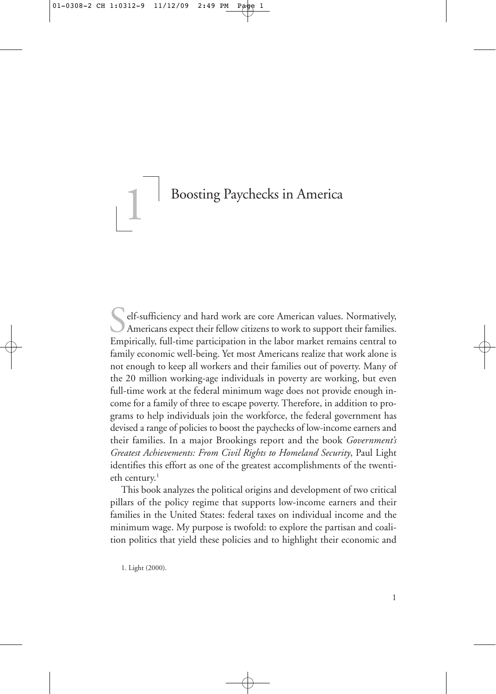# Boosting Paychecks in America 1

elf-sufficiency and hard work are core American values. Normatively, Americans expect their fellow citizens to work to support their families. Empirically, full-time participation in the labor market remains central to family economic well-being. Yet most Americans realize that work alone is not enough to keep all workers and their families out of poverty. Many of the 20 million working-age individuals in poverty are working, but even full-time work at the federal minimum wage does not provide enough income for a family of three to escape poverty. Therefore, in addition to programs to help individuals join the workforce, the federal government has devised a range of policies to boost the paychecks of low-income earners and their families. In a major Brookings report and the book *Government's Greatest Achievements: From Civil Rights to Homeland Security*, Paul Light identifies this effort as one of the greatest accomplishments of the twentieth century.<sup>1</sup>

This book analyzes the political origins and development of two critical pillars of the policy regime that supports low-income earners and their families in the United States: federal taxes on individual income and the minimum wage. My purpose is twofold: to explore the partisan and coalition politics that yield these policies and to highlight their economic and

1. Light (2000).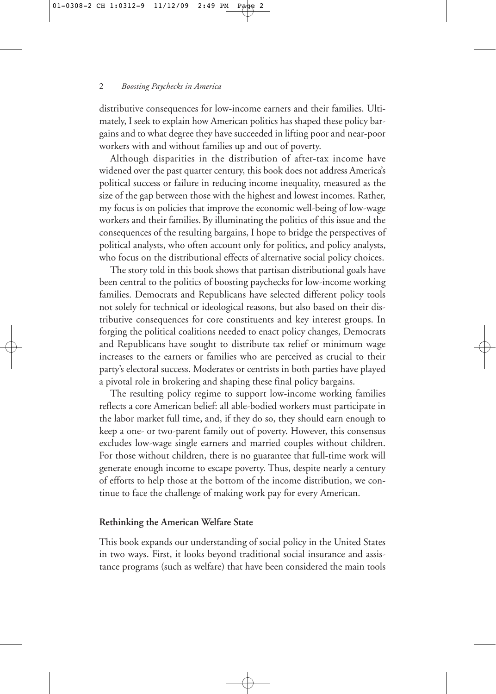distributive consequences for low-income earners and their families. Ultimately, I seek to explain how American politics has shaped these policy bargains and to what degree they have succeeded in lifting poor and near-poor workers with and without families up and out of poverty.

Although disparities in the distribution of after-tax income have widened over the past quarter century, this book does not address America's political success or failure in reducing income inequality, measured as the size of the gap between those with the highest and lowest incomes. Rather, my focus is on policies that improve the economic well-being of low-wage workers and their families. By illuminating the politics of this issue and the consequences of the resulting bargains, I hope to bridge the perspectives of political analysts, who often account only for politics, and policy analysts, who focus on the distributional effects of alternative social policy choices.

The story told in this book shows that partisan distributional goals have been central to the politics of boosting paychecks for low-income working families. Democrats and Republicans have selected different policy tools not solely for technical or ideological reasons, but also based on their distributive consequences for core constituents and key interest groups. In forging the political coalitions needed to enact policy changes, Democrats and Republicans have sought to distribute tax relief or minimum wage increases to the earners or families who are perceived as crucial to their party's electoral success. Moderates or centrists in both parties have played a pivotal role in brokering and shaping these final policy bargains.

The resulting policy regime to support low-income working families reflects a core American belief: all able-bodied workers must participate in the labor market full time, and, if they do so, they should earn enough to keep a one- or two-parent family out of poverty. However, this consensus excludes low-wage single earners and married couples without children. For those without children, there is no guarantee that full-time work will generate enough income to escape poverty. Thus, despite nearly a century of efforts to help those at the bottom of the income distribution, we continue to face the challenge of making work pay for every American.

# **Rethinking the American Welfare State**

This book expands our understanding of social policy in the United States in two ways. First, it looks beyond traditional social insurance and assistance programs (such as welfare) that have been considered the main tools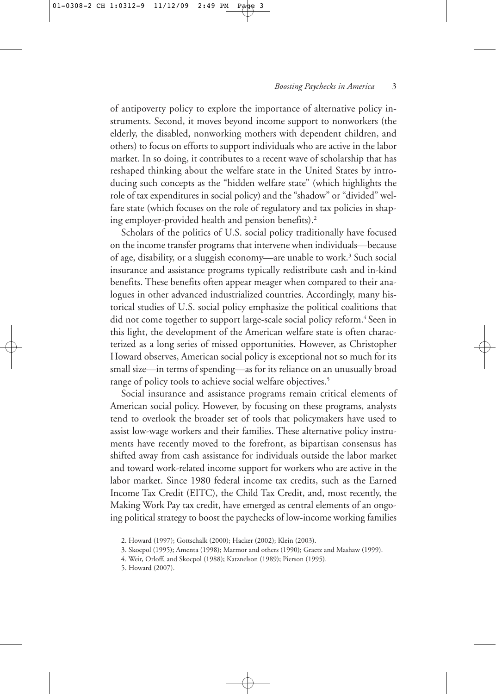of antipoverty policy to explore the importance of alternative policy instruments. Second, it moves beyond income support to nonworkers (the elderly, the disabled, nonworking mothers with dependent children, and others) to focus on efforts to support individuals who are active in the labor market. In so doing, it contributes to a recent wave of scholarship that has reshaped thinking about the welfare state in the United States by introducing such concepts as the "hidden welfare state" (which highlights the role of tax expenditures in social policy) and the "shadow" or "divided" welfare state (which focuses on the role of regulatory and tax policies in shaping employer-provided health and pension benefits).<sup>2</sup>

Scholars of the politics of U.S. social policy traditionally have focused on the income transfer programs that intervene when individuals—because of age, disability, or a sluggish economy—are unable to work.<sup>3</sup> Such social insurance and assistance programs typically redistribute cash and in-kind benefits. These benefits often appear meager when compared to their analogues in other advanced industrialized countries. Accordingly, many historical studies of U.S. social policy emphasize the political coalitions that did not come together to support large-scale social policy reform.<sup>4</sup> Seen in this light, the development of the American welfare state is often characterized as a long series of missed opportunities. However, as Christopher Howard observes, American social policy is exceptional not so much for its small size—in terms of spending—as for its reliance on an unusually broad range of policy tools to achieve social welfare objectives.<sup>5</sup>

Social insurance and assistance programs remain critical elements of American social policy. However, by focusing on these programs, analysts tend to overlook the broader set of tools that policymakers have used to assist low-wage workers and their families. These alternative policy instruments have recently moved to the forefront, as bipartisan consensus has shifted away from cash assistance for individuals outside the labor market and toward work-related income support for workers who are active in the labor market. Since 1980 federal income tax credits, such as the Earned Income Tax Credit (EITC), the Child Tax Credit, and, most recently, the Making Work Pay tax credit, have emerged as central elements of an ongoing political strategy to boost the paychecks of low-income working families

<sup>2.</sup> Howard (1997); Gottschalk (2000); Hacker (2002); Klein (2003).

<sup>3.</sup> Skocpol (1995); Amenta (1998); Marmor and others (1990); Graetz and Mashaw (1999).

<sup>4.</sup> Weir, Orloff, and Skocpol (1988); Katznelson (1989); Pierson (1995).

<sup>5.</sup> Howard (2007).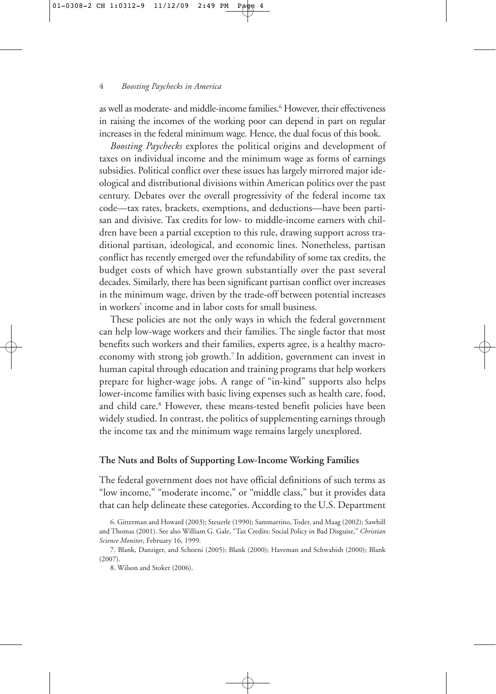as well as moderate- and middle-income families.<sup>6</sup> However, their effectiveness in raising the incomes of the working poor can depend in part on regular increases in the federal minimum wage. Hence, the dual focus of this book.

*Boosting Paychecks* explores the political origins and development of taxes on individual income and the minimum wage as forms of earnings subsidies. Political conflict over these issues has largely mirrored major ideological and distributional divisions within American politics over the past century. Debates over the overall progressivity of the federal income tax code—tax rates, brackets, exemptions, and deductions—have been partisan and divisive. Tax credits for low- to middle-income earners with children have been a partial exception to this rule, drawing support across traditional partisan, ideological, and economic lines. Nonetheless, partisan conflict has recently emerged over the refundability of some tax credits, the budget costs of which have grown substantially over the past several decades. Similarly, there has been significant partisan conflict over increases in the minimum wage, driven by the trade-off between potential increases in workers' income and in labor costs for small business.

These policies are not the only ways in which the federal government can help low-wage workers and their families. The single factor that most benefits such workers and their families, experts agree, is a healthy macroeconomy with strong job growth.7 In addition, government can invest in human capital through education and training programs that help workers prepare for higher-wage jobs. A range of "in-kind" supports also helps lower-income families with basic living expenses such as health care, food, and child care.<sup>8</sup> However, these means-tested benefit policies have been widely studied. In contrast, the politics of supplementing earnings through the income tax and the minimum wage remains largely unexplored.

#### **The Nuts and Bolts of Supporting Low-Income Working Families**

The federal government does not have official definitions of such terms as "low income," "moderate income," or "middle class," but it provides data that can help delineate these categories. According to the U.S. Department

7. Blank, Danziger, and Schoeni (2005); Blank (2000); Haveman and Schwabish (2000); Blank (2007).

8. Wilson and Stoker (2006).

<sup>6.</sup> Gitterman and Howard (2003); Steuerle (1990); Sammartino, Toder, and Maag (2002); Sawhill and Thomas (2001). See also William G. Gale, "Tax Credits: Social Policy in Bad Disguise," *Christian Science Monitor*, February 16, 1999.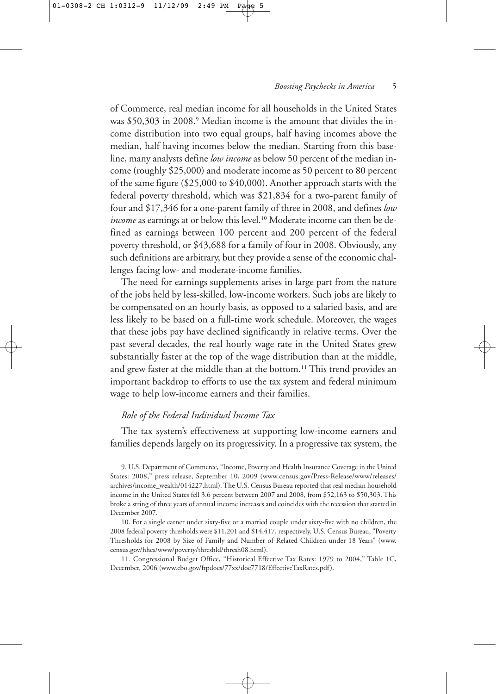of Commerce, real median income for all households in the United States was \$50,303 in 2008.<sup>9</sup> Median income is the amount that divides the income distribution into two equal groups, half having incomes above the median, half having incomes below the median. Starting from this baseline, many analysts define *low income* as below 50 percent of the median income (roughly \$25,000) and moderate income as 50 percent to 80 percent of the same figure (\$25,000 to \$40,000). Another approach starts with the federal poverty threshold, which was \$21,834 for a two-parent family of four and \$17,346 for a one-parent family of three in 2008, and defines *low income* as earnings at or below this level.<sup>10</sup> Moderate income can then be defined as earnings between 100 percent and 200 percent of the federal poverty threshold, or \$43,688 for a family of four in 2008. Obviously, any such definitions are arbitrary, but they provide a sense of the economic challenges facing low- and moderate-income families.

The need for earnings supplements arises in large part from the nature of the jobs held by less-skilled, low-income workers. Such jobs are likely to be compensated on an hourly basis, as opposed to a salaried basis, and are less likely to be based on a full-time work schedule. Moreover, the wages that these jobs pay have declined significantly in relative terms. Over the past several decades, the real hourly wage rate in the United States grew substantially faster at the top of the wage distribution than at the middle, and grew faster at the middle than at the bottom.<sup>11</sup> This trend provides an important backdrop to efforts to use the tax system and federal minimum wage to help low-income earners and their families.

# *Role of the Federal Individual Income Tax*

The tax system's effectiveness at supporting low-income earners and families depends largely on its progressivity. In a progressive tax system, the

9. U.S. Department of Commerce, "Income, Poverty and Health Insurance Coverage in the United States: 2008," press release, September 10, 2009 (www.census.gov/Press-Release/www/releases/ archives/income\_wealth/014227.html). The U.S. Census Bureau reported that real median household income in the United States fell 3.6 percent between 2007 and 2008, from \$52,163 to \$50,303. This broke a string of three years of annual income increases and coincides with the recession that started in December 2007.

10. For a single earner under sixty-five or a married couple under sixty-five with no children, the 2008 federal poverty thresholds were \$11,201 and \$14,417, respectively. U.S. Census Bureau, "Poverty Thresholds for 2008 by Size of Family and Number of Related Children under 18 Years" (www. census.gov/hhes/www/poverty/threshld/thresh08.html).

11. Congressional Budget Office, "Historical Effective Tax Rates: 1979 to 2004," Table 1C, December, 2006 (www.cbo.gov/ftpdocs/77xx/doc7718/EffectiveTaxRates.pdf).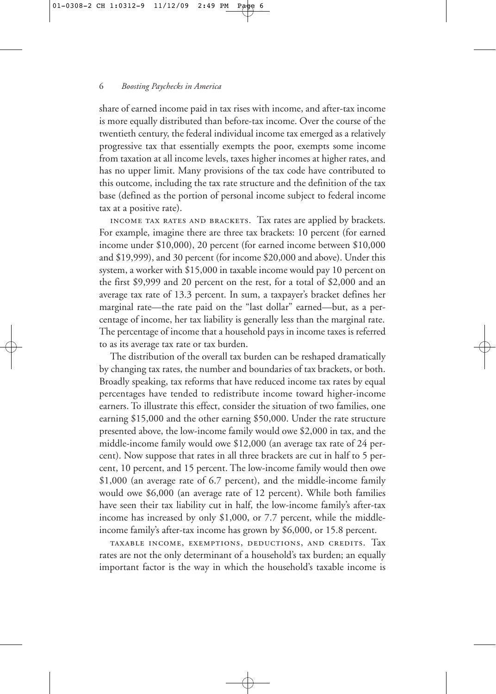share of earned income paid in tax rises with income, and after-tax income is more equally distributed than before-tax income. Over the course of the twentieth century, the federal individual income tax emerged as a relatively progressive tax that essentially exempts the poor, exempts some income from taxation at all income levels, taxes higher incomes at higher rates, and has no upper limit. Many provisions of the tax code have contributed to this outcome, including the tax rate structure and the definition of the tax base (defined as the portion of personal income subject to federal income tax at a positive rate).

income tax rates and brackets. Tax rates are applied by brackets. For example, imagine there are three tax brackets: 10 percent (for earned income under \$10,000), 20 percent (for earned income between \$10,000 and \$19,999), and 30 percent (for income \$20,000 and above). Under this system, a worker with \$15,000 in taxable income would pay 10 percent on the first \$9,999 and 20 percent on the rest, for a total of \$2,000 and an average tax rate of 13.3 percent. In sum, a taxpayer's bracket defines her marginal rate—the rate paid on the "last dollar" earned—but, as a percentage of income, her tax liability is generally less than the marginal rate. The percentage of income that a household pays in income taxes is referred to as its average tax rate or tax burden.

The distribution of the overall tax burden can be reshaped dramatically by changing tax rates, the number and boundaries of tax brackets, or both. Broadly speaking, tax reforms that have reduced income tax rates by equal percentages have tended to redistribute income toward higher-income earners. To illustrate this effect, consider the situation of two families, one earning \$15,000 and the other earning \$50,000. Under the rate structure presented above, the low-income family would owe \$2,000 in tax, and the middle-income family would owe \$12,000 (an average tax rate of 24 percent). Now suppose that rates in all three brackets are cut in half to 5 percent, 10 percent, and 15 percent. The low-income family would then owe \$1,000 (an average rate of 6.7 percent), and the middle-income family would owe \$6,000 (an average rate of 12 percent). While both families have seen their tax liability cut in half, the low-income family's after-tax income has increased by only \$1,000, or 7.7 percent, while the middleincome family's after-tax income has grown by \$6,000, or 15.8 percent.

taxable income, exemptions, deductions, and credits. Tax rates are not the only determinant of a household's tax burden; an equally important factor is the way in which the household's taxable income is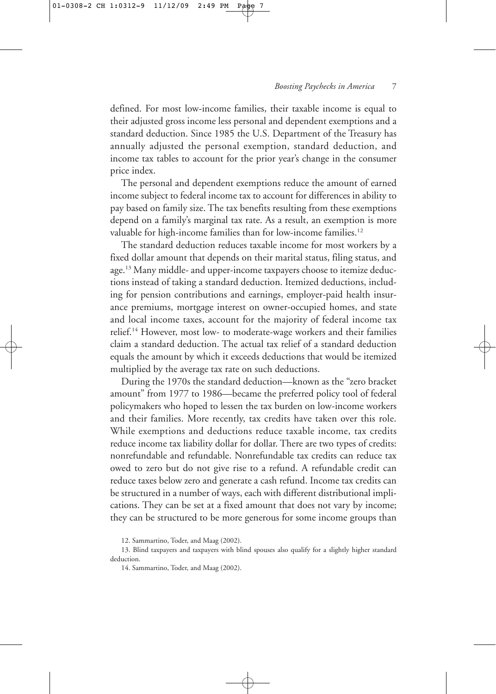defined. For most low-income families, their taxable income is equal to their adjusted gross income less personal and dependent exemptions and a standard deduction. Since 1985 the U.S. Department of the Treasury has annually adjusted the personal exemption, standard deduction, and income tax tables to account for the prior year's change in the consumer price index.

The personal and dependent exemptions reduce the amount of earned income subject to federal income tax to account for differences in ability to pay based on family size. The tax benefits resulting from these exemptions depend on a family's marginal tax rate. As a result, an exemption is more valuable for high-income families than for low-income families.<sup>12</sup>

The standard deduction reduces taxable income for most workers by a fixed dollar amount that depends on their marital status, filing status, and age.13 Many middle- and upper-income taxpayers choose to itemize deductions instead of taking a standard deduction. Itemized deductions, including for pension contributions and earnings, employer-paid health insurance premiums, mortgage interest on owner-occupied homes, and state and local income taxes, account for the majority of federal income tax relief.14 However, most low- to moderate-wage workers and their families claim a standard deduction. The actual tax relief of a standard deduction equals the amount by which it exceeds deductions that would be itemized multiplied by the average tax rate on such deductions.

During the 1970s the standard deduction—known as the "zero bracket amount" from 1977 to 1986—became the preferred policy tool of federal policymakers who hoped to lessen the tax burden on low-income workers and their families. More recently, tax credits have taken over this role. While exemptions and deductions reduce taxable income, tax credits reduce income tax liability dollar for dollar. There are two types of credits: nonrefundable and refundable. Nonrefundable tax credits can reduce tax owed to zero but do not give rise to a refund. A refundable credit can reduce taxes below zero and generate a cash refund. Income tax credits can be structured in a number of ways, each with different distributional implications. They can be set at a fixed amount that does not vary by income; they can be structured to be more generous for some income groups than

12. Sammartino, Toder, and Maag (2002).

13. Blind taxpayers and taxpayers with blind spouses also qualify for a slightly higher standard deduction.

14. Sammartino, Toder, and Maag (2002).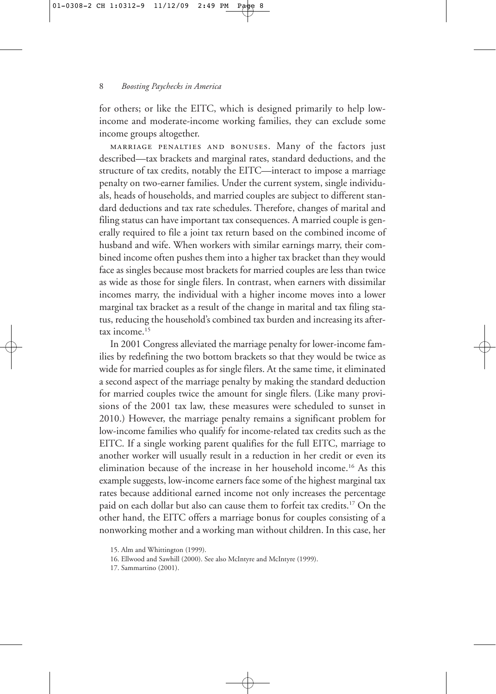for others; or like the EITC, which is designed primarily to help lowincome and moderate-income working families, they can exclude some income groups altogether.

marriage penalties and bonuses. Many of the factors just described—tax brackets and marginal rates, standard deductions, and the structure of tax credits, notably the EITC—interact to impose a marriage penalty on two-earner families. Under the current system, single individuals, heads of households, and married couples are subject to different standard deductions and tax rate schedules. Therefore, changes of marital and filing status can have important tax consequences. A married couple is generally required to file a joint tax return based on the combined income of husband and wife. When workers with similar earnings marry, their combined income often pushes them into a higher tax bracket than they would face as singles because most brackets for married couples are less than twice as wide as those for single filers. In contrast, when earners with dissimilar incomes marry, the individual with a higher income moves into a lower marginal tax bracket as a result of the change in marital and tax filing status, reducing the household's combined tax burden and increasing its aftertax income.<sup>15</sup>

In 2001 Congress alleviated the marriage penalty for lower-income families by redefining the two bottom brackets so that they would be twice as wide for married couples as for single filers. At the same time, it eliminated a second aspect of the marriage penalty by making the standard deduction for married couples twice the amount for single filers. (Like many provisions of the 2001 tax law, these measures were scheduled to sunset in 2010.) However, the marriage penalty remains a significant problem for low-income families who qualify for income-related tax credits such as the EITC. If a single working parent qualifies for the full EITC, marriage to another worker will usually result in a reduction in her credit or even its elimination because of the increase in her household income.16 As this example suggests, low-income earners face some of the highest marginal tax rates because additional earned income not only increases the percentage paid on each dollar but also can cause them to forfeit tax credits.17 On the other hand, the EITC offers a marriage bonus for couples consisting of a nonworking mother and a working man without children. In this case, her

<sup>15.</sup> Alm and Whittington (1999).

<sup>16.</sup> Ellwood and Sawhill (2000). See also McIntyre and McIntyre (1999).

<sup>17.</sup> Sammartino (2001).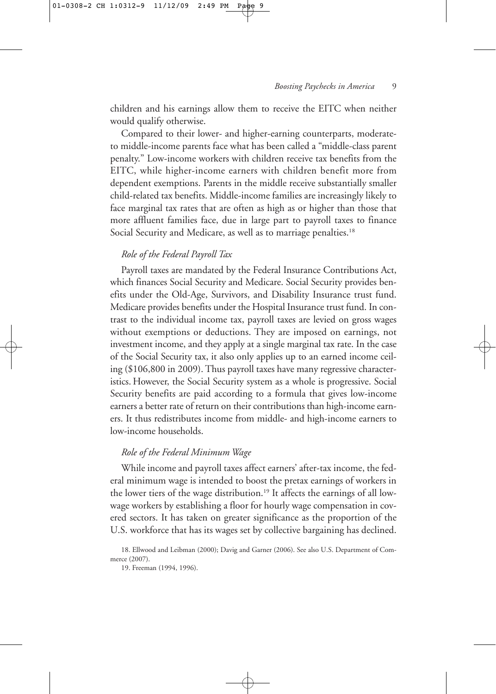children and his earnings allow them to receive the EITC when neither would qualify otherwise.

Compared to their lower- and higher-earning counterparts, moderateto middle-income parents face what has been called a "middle-class parent penalty." Low-income workers with children receive tax benefits from the EITC, while higher-income earners with children benefit more from dependent exemptions. Parents in the middle receive substantially smaller child-related tax benefits. Middle-income families are increasingly likely to face marginal tax rates that are often as high as or higher than those that more affluent families face, due in large part to payroll taxes to finance Social Security and Medicare, as well as to marriage penalties.<sup>18</sup>

## *Role of the Federal Payroll Tax*

Payroll taxes are mandated by the Federal Insurance Contributions Act, which finances Social Security and Medicare. Social Security provides benefits under the Old-Age, Survivors, and Disability Insurance trust fund. Medicare provides benefits under the Hospital Insurance trust fund. In contrast to the individual income tax, payroll taxes are levied on gross wages without exemptions or deductions. They are imposed on earnings, not investment income, and they apply at a single marginal tax rate. In the case of the Social Security tax, it also only applies up to an earned income ceiling (\$106,800 in 2009). Thus payroll taxes have many regressive characteristics. However, the Social Security system as a whole is progressive. Social Security benefits are paid according to a formula that gives low-income earners a better rate of return on their contributions than high-income earners. It thus redistributes income from middle- and high-income earners to low-income households.

## *Role of the Federal Minimum Wage*

While income and payroll taxes affect earners' after-tax income, the federal minimum wage is intended to boost the pretax earnings of workers in the lower tiers of the wage distribution.<sup>19</sup> It affects the earnings of all lowwage workers by establishing a floor for hourly wage compensation in covered sectors. It has taken on greater significance as the proportion of the U.S. workforce that has its wages set by collective bargaining has declined.

<sup>18.</sup> Ellwood and Leibman (2000); Davig and Garner (2006). See also U.S. Department of Commerce (2007).

<sup>19.</sup> Freeman (1994, 1996).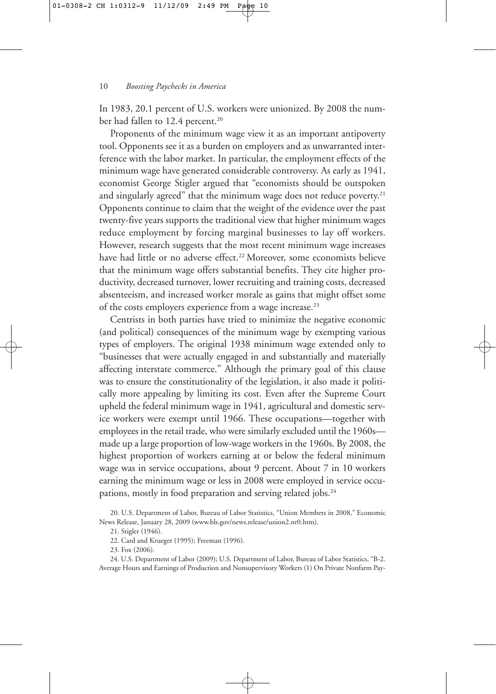In 1983, 20.1 percent of U.S. workers were unionized. By 2008 the number had fallen to 12.4 percent.<sup>20</sup>

Proponents of the minimum wage view it as an important antipoverty tool. Opponents see it as a burden on employers and as unwarranted interference with the labor market. In particular, the employment effects of the minimum wage have generated considerable controversy. As early as 1941, economist George Stigler argued that "economists should be outspoken and singularly agreed" that the minimum wage does not reduce poverty.<sup>21</sup> Opponents continue to claim that the weight of the evidence over the past twenty-five years supports the traditional view that higher minimum wages reduce employment by forcing marginal businesses to lay off workers. However, research suggests that the most recent minimum wage increases have had little or no adverse effect.<sup>22</sup> Moreover, some economists believe that the minimum wage offers substantial benefits. They cite higher productivity, decreased turnover, lower recruiting and training costs, decreased absenteeism, and increased worker morale as gains that might offset some of the costs employers experience from a wage increase.<sup>23</sup>

Centrists in both parties have tried to minimize the negative economic (and political) consequences of the minimum wage by exempting various types of employers. The original 1938 minimum wage extended only to "businesses that were actually engaged in and substantially and materially affecting interstate commerce." Although the primary goal of this clause was to ensure the constitutionality of the legislation, it also made it politically more appealing by limiting its cost. Even after the Supreme Court upheld the federal minimum wage in 1941, agricultural and domestic service workers were exempt until 1966. These occupations—together with employees in the retail trade, who were similarly excluded until the 1960s made up a large proportion of low-wage workers in the 1960s. By 2008, the highest proportion of workers earning at or below the federal minimum wage was in service occupations, about 9 percent. About 7 in 10 workers earning the minimum wage or less in 2008 were employed in service occupations, mostly in food preparation and serving related jobs.<sup>24</sup>

20. U.S. Department of Labor, Bureau of Labor Statistics, "Union Members in 2008," Economic News Release, January 28, 2009 (www.bls.gov/news.release/union2.nr0.htm).

21. Stigler (1946).

22. Card and Krueger (1995); Freeman (1996).

23. Fox (2006).

24. U.S. Department of Labor (2009); U.S. Department of Labor, Bureau of Labor Statistics, "B-2. Average Hours and Earnings of Production and Nonsupervisory Workers (1) On Private Nonfarm Pay-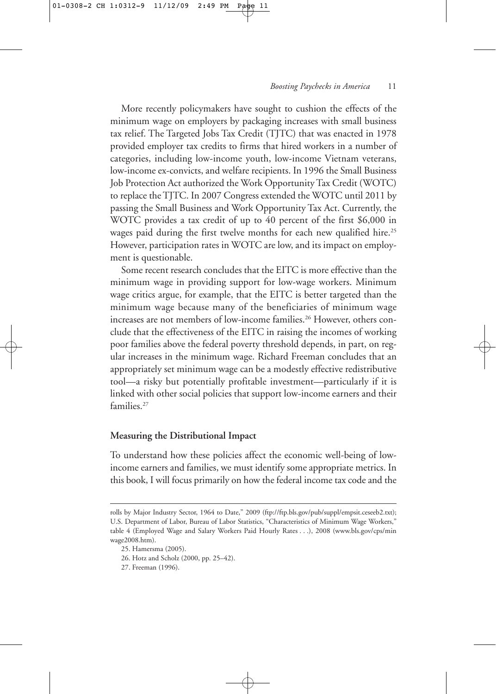More recently policymakers have sought to cushion the effects of the minimum wage on employers by packaging increases with small business tax relief. The Targeted Jobs Tax Credit (TJTC) that was enacted in 1978 provided employer tax credits to firms that hired workers in a number of categories, including low-income youth, low-income Vietnam veterans, low-income ex-convicts, and welfare recipients. In 1996 the Small Business Job Protection Act authorized the Work Opportunity Tax Credit (WOTC) to replace the TJTC. In 2007 Congress extended the WOTC until 2011 by passing the Small Business and Work Opportunity Tax Act. Currently, the WOTC provides a tax credit of up to 40 percent of the first \$6,000 in wages paid during the first twelve months for each new qualified hire.<sup>25</sup> However, participation rates in WOTC are low, and its impact on employment is questionable.

Some recent research concludes that the EITC is more effective than the minimum wage in providing support for low-wage workers. Minimum wage critics argue, for example, that the EITC is better targeted than the minimum wage because many of the beneficiaries of minimum wage increases are not members of low-income families.<sup>26</sup> However, others conclude that the effectiveness of the EITC in raising the incomes of working poor families above the federal poverty threshold depends, in part, on regular increases in the minimum wage. Richard Freeman concludes that an appropriately set minimum wage can be a modestly effective redistributive tool—a risky but potentially profitable investment—particularly if it is linked with other social policies that support low-income earners and their families.<sup>27</sup>

## **Measuring the Distributional Impact**

To understand how these policies affect the economic well-being of lowincome earners and families, we must identify some appropriate metrics. In this book, I will focus primarily on how the federal income tax code and the

rolls by Major Industry Sector, 1964 to Date," 2009 (ftp://ftp.bls.gov/pub/suppl/empsit.ceseeb2.txt); U.S. Department of Labor, Bureau of Labor Statistics, "Characteristics of Minimum Wage Workers," table 4 (Employed Wage and Salary Workers Paid Hourly Rates . . .), 2008 (www.bls.gov/cps/min wage2008.htm).

<sup>25.</sup> Hamersma (2005).

<sup>26.</sup> Hotz and Scholz (2000, pp. 25–42).

<sup>27.</sup> Freeman (1996).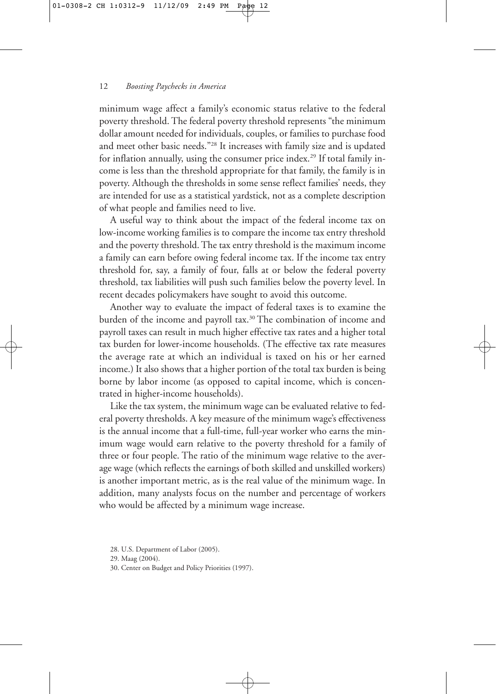minimum wage affect a family's economic status relative to the federal poverty threshold. The federal poverty threshold represents "the minimum dollar amount needed for individuals, couples, or families to purchase food and meet other basic needs."28 It increases with family size and is updated for inflation annually, using the consumer price index.<sup>29</sup> If total family income is less than the threshold appropriate for that family, the family is in poverty. Although the thresholds in some sense reflect families' needs, they are intended for use as a statistical yardstick, not as a complete description of what people and families need to live.

A useful way to think about the impact of the federal income tax on low-income working families is to compare the income tax entry threshold and the poverty threshold. The tax entry threshold is the maximum income a family can earn before owing federal income tax. If the income tax entry threshold for, say, a family of four, falls at or below the federal poverty threshold, tax liabilities will push such families below the poverty level. In recent decades policymakers have sought to avoid this outcome.

Another way to evaluate the impact of federal taxes is to examine the burden of the income and payroll tax.<sup>30</sup> The combination of income and payroll taxes can result in much higher effective tax rates and a higher total tax burden for lower-income households. (The effective tax rate measures the average rate at which an individual is taxed on his or her earned income.) It also shows that a higher portion of the total tax burden is being borne by labor income (as opposed to capital income, which is concentrated in higher-income households).

Like the tax system, the minimum wage can be evaluated relative to federal poverty thresholds. A key measure of the minimum wage's effectiveness is the annual income that a full-time, full-year worker who earns the minimum wage would earn relative to the poverty threshold for a family of three or four people. The ratio of the minimum wage relative to the average wage (which reflects the earnings of both skilled and unskilled workers) is another important metric, as is the real value of the minimum wage. In addition, many analysts focus on the number and percentage of workers who would be affected by a minimum wage increase.

29. Maag (2004).

30. Center on Budget and Policy Priorities (1997).

<sup>28.</sup> U.S. Department of Labor (2005).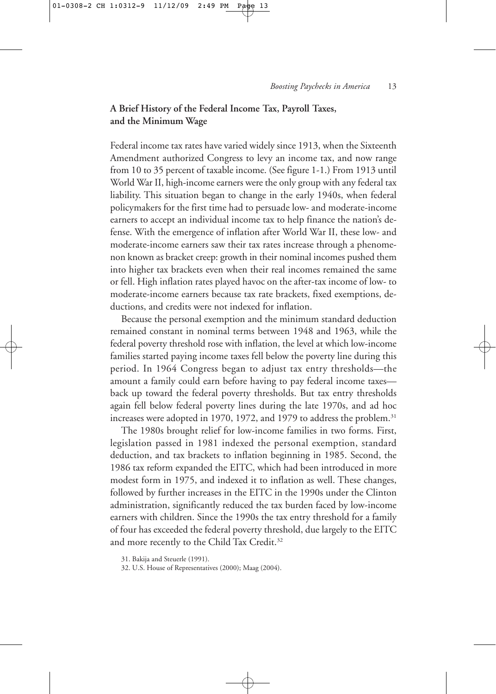# **A Brief History of the Federal Income Tax, Payroll Taxes, and the Minimum Wage**

Federal income tax rates have varied widely since 1913, when the Sixteenth Amendment authorized Congress to levy an income tax, and now range from 10 to 35 percent of taxable income. (See figure 1-1.) From 1913 until World War II, high-income earners were the only group with any federal tax liability. This situation began to change in the early 1940s, when federal policymakers for the first time had to persuade low- and moderate-income earners to accept an individual income tax to help finance the nation's defense. With the emergence of inflation after World War II, these low- and moderate-income earners saw their tax rates increase through a phenomenon known as bracket creep: growth in their nominal incomes pushed them into higher tax brackets even when their real incomes remained the same or fell. High inflation rates played havoc on the after-tax income of low- to moderate-income earners because tax rate brackets, fixed exemptions, deductions, and credits were not indexed for inflation.

Because the personal exemption and the minimum standard deduction remained constant in nominal terms between 1948 and 1963, while the federal poverty threshold rose with inflation, the level at which low-income families started paying income taxes fell below the poverty line during this period. In 1964 Congress began to adjust tax entry thresholds—the amount a family could earn before having to pay federal income taxes back up toward the federal poverty thresholds. But tax entry thresholds again fell below federal poverty lines during the late 1970s, and ad hoc increases were adopted in 1970, 1972, and 1979 to address the problem.<sup>31</sup>

The 1980s brought relief for low-income families in two forms. First, legislation passed in 1981 indexed the personal exemption, standard deduction, and tax brackets to inflation beginning in 1985. Second, the 1986 tax reform expanded the EITC, which had been introduced in more modest form in 1975, and indexed it to inflation as well. These changes, followed by further increases in the EITC in the 1990s under the Clinton administration, significantly reduced the tax burden faced by low-income earners with children. Since the 1990s the tax entry threshold for a family of four has exceeded the federal poverty threshold, due largely to the EITC and more recently to the Child Tax Credit.<sup>32</sup>

<sup>31.</sup> Bakija and Steuerle (1991).

<sup>32.</sup> U.S. House of Representatives (2000); Maag (2004).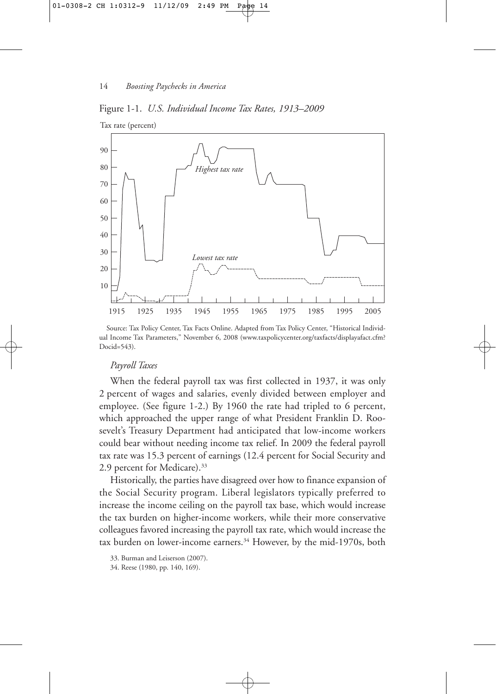#### Figure 1-1. *U.S. Individual Income Tax Rates, 1913–2009*





Source: Tax Policy Center, Tax Facts Online. Adapted from Tax Policy Center, "Historical Individual Income Tax Parameters," November 6, 2008 (www.taxpolicycenter.org/taxfacts/displayafact.cfm? Docid=543).

#### *Payroll Taxes*

When the federal payroll tax was first collected in 1937, it was only 2 percent of wages and salaries, evenly divided between employer and employee. (See figure 1-2.) By 1960 the rate had tripled to 6 percent, which approached the upper range of what President Franklin D. Roosevelt's Treasury Department had anticipated that low-income workers could bear without needing income tax relief. In 2009 the federal payroll tax rate was 15.3 percent of earnings (12.4 percent for Social Security and 2.9 percent for Medicare).33

Historically, the parties have disagreed over how to finance expansion of the Social Security program. Liberal legislators typically preferred to increase the income ceiling on the payroll tax base, which would increase the tax burden on higher-income workers, while their more conservative colleagues favored increasing the payroll tax rate, which would increase the tax burden on lower-income earners.<sup>34</sup> However, by the mid-1970s, both

<sup>33.</sup> Burman and Leiserson (2007).

<sup>34.</sup> Reese (1980, pp. 140, 169).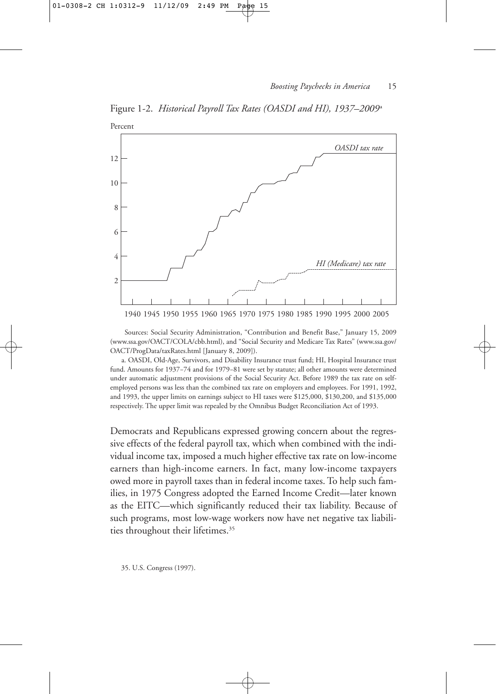

Figure 1-2. *Historical Payroll Tax Rates (OASDI and HI), 1937–2009*<sup>a</sup>

Sources: Social Security Administration, "Contribution and Benefit Base," January 15, 2009 (www.ssa.gov/OACT/COLA/cbb.html), and "Social Security and Medicare Tax Rates" (www.ssa.gov/ OACT/ProgData/taxRates.html [January 8, 2009]).

a. OASDI, Old-Age, Survivors, and Disability Insurance trust fund; HI, Hospital Insurance trust fund. Amounts for 1937−74 and for 1979−81 were set by statute; all other amounts were determined under automatic adjustment provisions of the Social Security Act. Before 1989 the tax rate on selfemployed persons was less than the combined tax rate on employers and employees. For 1991, 1992, and 1993, the upper limits on earnings subject to HI taxes were \$125,000, \$130,200, and \$135,000 respectively. The upper limit was repealed by the Omnibus Budget Reconciliation Act of 1993.

Democrats and Republicans expressed growing concern about the regressive effects of the federal payroll tax, which when combined with the individual income tax, imposed a much higher effective tax rate on low-income earners than high-income earners. In fact, many low-income taxpayers owed more in payroll taxes than in federal income taxes. To help such families, in 1975 Congress adopted the Earned Income Credit—later known as the EITC—which significantly reduced their tax liability. Because of such programs, most low-wage workers now have net negative tax liabilities throughout their lifetimes.<sup>35</sup>

35. U.S. Congress (1997).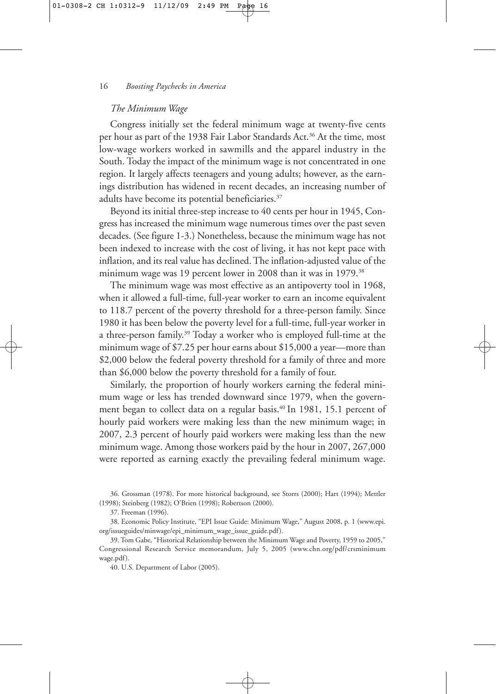#### *The Minimum Wage*

Congress initially set the federal minimum wage at twenty-five cents per hour as part of the 1938 Fair Labor Standards Act.<sup>36</sup> At the time, most low-wage workers worked in sawmills and the apparel industry in the South. Today the impact of the minimum wage is not concentrated in one region. It largely affects teenagers and young adults; however, as the earnings distribution has widened in recent decades, an increasing number of adults have become its potential beneficiaries.<sup>37</sup>

Beyond its initial three-step increase to 40 cents per hour in 1945, Congress has increased the minimum wage numerous times over the past seven decades. (See figure 1-3.) Nonetheless, because the minimum wage has not been indexed to increase with the cost of living, it has not kept pace with inflation, and its real value has declined. The inflation-adjusted value of the minimum wage was 19 percent lower in 2008 than it was in 1979.38

The minimum wage was most effective as an antipoverty tool in 1968, when it allowed a full-time, full-year worker to earn an income equivalent to 118.7 percent of the poverty threshold for a three-person family. Since 1980 it has been below the poverty level for a full-time, full-year worker in a three-person family.39 Today a worker who is employed full-time at the minimum wage of \$7.25 per hour earns about \$15,000 a year—more than \$2,000 below the federal poverty threshold for a family of three and more than \$6,000 below the poverty threshold for a family of four.

Similarly, the proportion of hourly workers earning the federal minimum wage or less has trended downward since 1979, when the government began to collect data on a regular basis.<sup>40</sup> In 1981, 15.1 percent of hourly paid workers were making less than the new minimum wage; in 2007, 2.3 percent of hourly paid workers were making less than the new minimum wage. Among those workers paid by the hour in 2007, 267,000 were reported as earning exactly the prevailing federal minimum wage.

36. Grossman (1978). For more historical background, see Storrs (2000); Hart (1994); Mettler (1998); Steinberg (1982); O'Brien (1998); Robertson (2000).

37. Freeman (1996).

38. Economic Policy Institute, "EPI Issue Guide: Minimum Wage," August 2008, p. 1 (www.epi. org/issueguides/minwage/epi\_minimum\_wage\_issue\_guide.pdf).

39. Tom Gabe, "Historical Relationship between the Minimum Wage and Poverty, 1959 to 2005," Congressional Research Service memorandum, July 5, 2005 (www.chn.org/pdf/crsminimum wage.pdf).

40. U.S. Department of Labor (2005).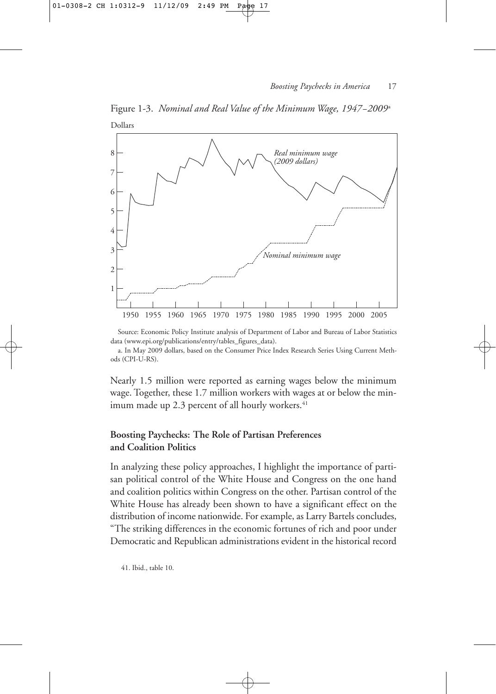Figure 1-3. *Nominal and Real Value of the Minimum Wage, 1947−2009*<sup>a</sup> Dollars



Source: Economic Policy Institute analysis of Department of Labor and Bureau of Labor Statistics data (www.epi.org/publications/entry/tables\_figures\_data).

a. In May 2009 dollars, based on the Consumer Price Index Research Series Using Current Methods (CPI-U-RS).

Nearly 1.5 million were reported as earning wages below the minimum wage. Together, these 1.7 million workers with wages at or below the minimum made up 2.3 percent of all hourly workers.<sup>41</sup>

# **Boosting Paychecks: The Role of Partisan Preferences and Coalition Politics**

In analyzing these policy approaches, I highlight the importance of partisan political control of the White House and Congress on the one hand and coalition politics within Congress on the other. Partisan control of the White House has already been shown to have a significant effect on the distribution of income nationwide. For example, as Larry Bartels concludes, "The striking differences in the economic fortunes of rich and poor under Democratic and Republican administrations evident in the historical record

41. Ibid., table 10.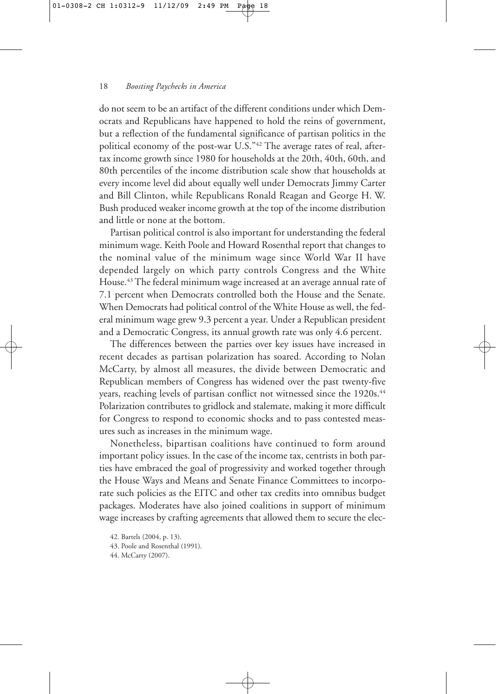do not seem to be an artifact of the different conditions under which Democrats and Republicans have happened to hold the reins of government, but a reflection of the fundamental significance of partisan politics in the political economy of the post-war U.S."<sup>42</sup> The average rates of real, aftertax income growth since 1980 for households at the 20th, 40th, 60th, and 80th percentiles of the income distribution scale show that households at every income level did about equally well under Democrats Jimmy Carter and Bill Clinton, while Republicans Ronald Reagan and George H. W. Bush produced weaker income growth at the top of the income distribution and little or none at the bottom.

Partisan political control is also important for understanding the federal minimum wage. Keith Poole and Howard Rosenthal report that changes to the nominal value of the minimum wage since World War II have depended largely on which party controls Congress and the White House.<sup>43</sup> The federal minimum wage increased at an average annual rate of 7.1 percent when Democrats controlled both the House and the Senate. When Democrats had political control of the White House as well, the federal minimum wage grew 9.3 percent a year. Under a Republican president and a Democratic Congress, its annual growth rate was only 4.6 percent.

The differences between the parties over key issues have increased in recent decades as partisan polarization has soared. According to Nolan McCarty, by almost all measures, the divide between Democratic and Republican members of Congress has widened over the past twenty-five years, reaching levels of partisan conflict not witnessed since the 1920s.<sup>44</sup> Polarization contributes to gridlock and stalemate, making it more difficult for Congress to respond to economic shocks and to pass contested measures such as increases in the minimum wage.

Nonetheless, bipartisan coalitions have continued to form around important policy issues. In the case of the income tax, centrists in both parties have embraced the goal of progressivity and worked together through the House Ways and Means and Senate Finance Committees to incorporate such policies as the EITC and other tax credits into omnibus budget packages. Moderates have also joined coalitions in support of minimum wage increases by crafting agreements that allowed them to secure the elec-

42. Bartels (2004, p. 13). 43. Poole and Rosenthal (1991). 44. McCarty (2007).